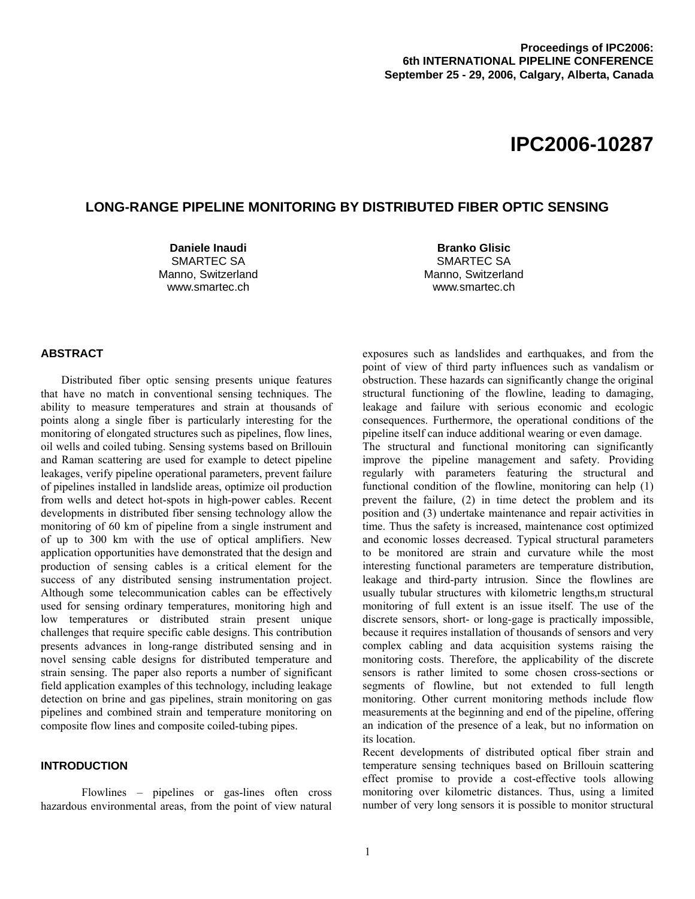# **LONG-RANGE PIPELINE MONITORING BY DISTRIBUTED FIBER OPTIC SENSING**

**Daniele Inaudi**  SMARTEC SA Manno, Switzerland www.smartec.ch

**Branko Glisic**  SMARTEC SA Manno, Switzerland www.smartec.ch

# **ABSTRACT**

Distributed fiber optic sensing presents unique features that have no match in conventional sensing techniques. The ability to measure temperatures and strain at thousands of points along a single fiber is particularly interesting for the monitoring of elongated structures such as pipelines, flow lines, oil wells and coiled tubing. Sensing systems based on Brillouin and Raman scattering are used for example to detect pipeline leakages, verify pipeline operational parameters, prevent failure of pipelines installed in landslide areas, optimize oil production from wells and detect hot-spots in high-power cables. Recent developments in distributed fiber sensing technology allow the monitoring of 60 km of pipeline from a single instrument and of up to 300 km with the use of optical amplifiers. New application opportunities have demonstrated that the design and production of sensing cables is a critical element for the success of any distributed sensing instrumentation project. Although some telecommunication cables can be effectively used for sensing ordinary temperatures, monitoring high and low temperatures or distributed strain present unique challenges that require specific cable designs. This contribution presents advances in long-range distributed sensing and in novel sensing cable designs for distributed temperature and strain sensing. The paper also reports a number of significant field application examples of this technology, including leakage detection on brine and gas pipelines, strain monitoring on gas pipelines and combined strain and temperature monitoring on composite flow lines and composite coiled-tubing pipes.

# **INTRODUCTION**

 Flowlines – pipelines or gas-lines often cross hazardous environmental areas, from the point of view natural exposures such as landslides and earthquakes, and from the point of view of third party influences such as vandalism or obstruction. These hazards can significantly change the original structural functioning of the flowline, leading to damaging, leakage and failure with serious economic and ecologic consequences. Furthermore, the operational conditions of the pipeline itself can induce additional wearing or even damage.

The structural and functional monitoring can significantly improve the pipeline management and safety. Providing regularly with parameters featuring the structural and functional condition of the flowline, monitoring can help (1) prevent the failure, (2) in time detect the problem and its position and (3) undertake maintenance and repair activities in time. Thus the safety is increased, maintenance cost optimized and economic losses decreased. Typical structural parameters to be monitored are strain and curvature while the most interesting functional parameters are temperature distribution, leakage and third-party intrusion. Since the flowlines are usually tubular structures with kilometric lengths,m structural monitoring of full extent is an issue itself. The use of the discrete sensors, short- or long-gage is practically impossible, because it requires installation of thousands of sensors and very complex cabling and data acquisition systems raising the monitoring costs. Therefore, the applicability of the discrete sensors is rather limited to some chosen cross-sections or segments of flowline, but not extended to full length monitoring. Other current monitoring methods include flow measurements at the beginning and end of the pipeline, offering an indication of the presence of a leak, but no information on its location.

Recent developments of distributed optical fiber strain and temperature sensing techniques based on Brillouin scattering effect promise to provide a cost-effective tools allowing monitoring over kilometric distances. Thus, using a limited number of very long sensors it is possible to monitor structural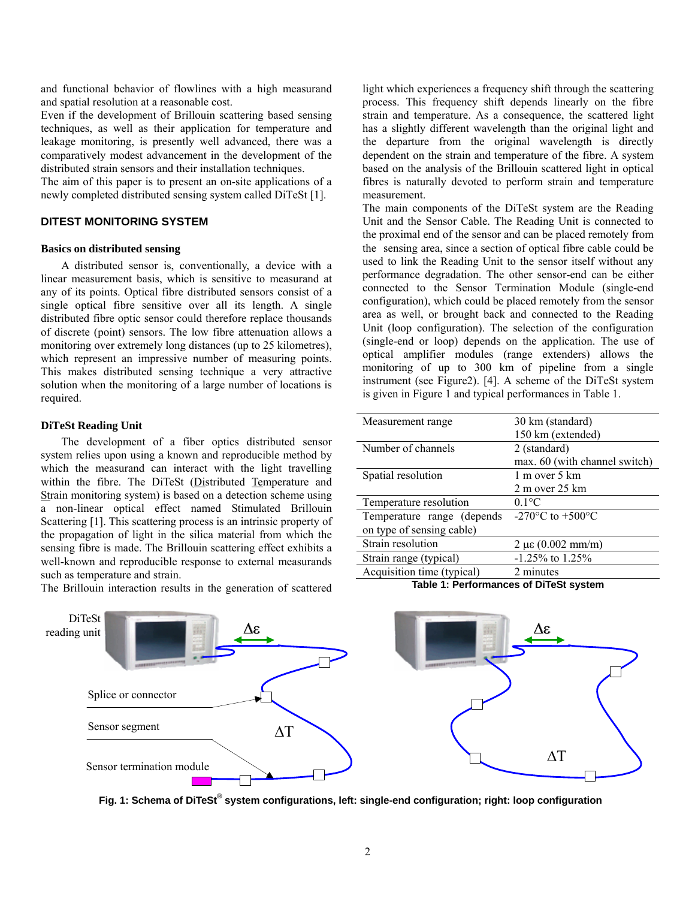and functional behavior of flowlines with a high measurand and spatial resolution at a reasonable cost.

Even if the development of Brillouin scattering based sensing techniques, as well as their application for temperature and leakage monitoring, is presently well advanced, there was a comparatively modest advancement in the development of the distributed strain sensors and their installation techniques.

The aim of this paper is to present an on-site applications of a newly completed distributed sensing system called DiTeSt [1].

# **DITEST MONITORING SYSTEM**

## **Basics on distributed sensing**

A distributed sensor is, conventionally, a device with a linear measurement basis, which is sensitive to measurand at any of its points. Optical fibre distributed sensors consist of a single optical fibre sensitive over all its length. A single distributed fibre optic sensor could therefore replace thousands of discrete (point) sensors. The low fibre attenuation allows a monitoring over extremely long distances (up to 25 kilometres), which represent an impressive number of measuring points. This makes distributed sensing technique a very attractive solution when the monitoring of a large number of locations is required.

#### **DiTeSt Reading Unit**

The development of a fiber optics distributed sensor system relies upon using a known and reproducible method by which the measurand can interact with the light travelling within the fibre. The DiTeSt (Distributed Temperature and Strain monitoring system) is based on a detection scheme using a non-linear optical effect named Stimulated Brillouin Scattering [1]. This scattering process is an intrinsic property of the propagation of light in the silica material from which the sensing fibre is made. The Brillouin scattering effect exhibits a well-known and reproducible response to external measurands such as temperature and strain.

The Brillouin interaction results in the generation of scattered

light which experiences a frequency shift through the scattering process. This frequency shift depends linearly on the fibre strain and temperature. As a consequence, the scattered light has a slightly different wavelength than the original light and the departure from the original wavelength is directly dependent on the strain and temperature of the fibre. A system based on the analysis of the Brillouin scattered light in optical fibres is naturally devoted to perform strain and temperature measurement.

The main components of the DiTeSt system are the Reading Unit and the Sensor Cable. The Reading Unit is connected to the proximal end of the sensor and can be placed remotely from the sensing area, since a section of optical fibre cable could be used to link the Reading Unit to the sensor itself without any performance degradation. The other sensor-end can be either connected to the Sensor Termination Module (single-end configuration), which could be placed remotely from the sensor area as well, or brought back and connected to the Reading Unit (loop configuration). The selection of the configuration (single-end or loop) depends on the application. The use of optical amplifier modules (range extenders) allows the monitoring of up to 300 km of pipeline from a single instrument (see Figure2). [4]. A scheme of the DiTeSt system is given in Figure 1 and typical performances in Table 1.

| Measurement range          | 30 km (standard)                      |
|----------------------------|---------------------------------------|
|                            | 150 km (extended)                     |
| Number of channels         | 2 (standard)                          |
|                            | max. 60 (with channel switch)         |
| Spatial resolution         | 1 m over 5 km                         |
|                            | 2 m over 25 km                        |
| Temperature resolution     | $0.1$ °C                              |
| Temperature range (depends | $-270^{\circ}$ C to $+500^{\circ}$ C  |
| on type of sensing cable)  |                                       |
| Strain resolution          | $2 \mu \epsilon (0.002 \text{ mm/m})$ |
| Strain range (typical)     | $-1.25\%$ to $1.25\%$                 |
| Acquisition time (typical) | 2 minutes                             |
|                            |                                       |

**Table 1: Performances of DiTeSt system** 



**Fig. 1: Schema of DiTeSt® system configurations, left: single-end configuration; right: loop configuration**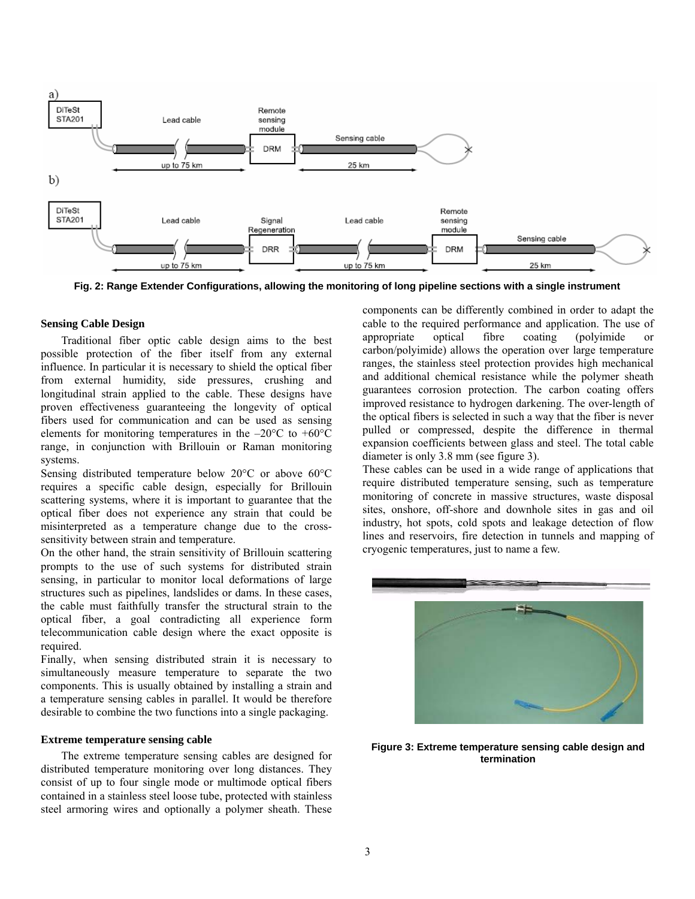

**Fig. 2: Range Extender Configurations, allowing the monitoring of long pipeline sections with a single instrument** 

## **Sensing Cable Design**

Traditional fiber optic cable design aims to the best possible protection of the fiber itself from any external influence. In particular it is necessary to shield the optical fiber from external humidity, side pressures, crushing and longitudinal strain applied to the cable. These designs have proven effectiveness guaranteeing the longevity of optical fibers used for communication and can be used as sensing elements for monitoring temperatures in the  $-20^{\circ}$ C to  $+60^{\circ}$ C range, in conjunction with Brillouin or Raman monitoring systems.

Sensing distributed temperature below 20°C or above 60°C requires a specific cable design, especially for Brillouin scattering systems, where it is important to guarantee that the optical fiber does not experience any strain that could be misinterpreted as a temperature change due to the crosssensitivity between strain and temperature.

On the other hand, the strain sensitivity of Brillouin scattering prompts to the use of such systems for distributed strain sensing, in particular to monitor local deformations of large structures such as pipelines, landslides or dams. In these cases, the cable must faithfully transfer the structural strain to the optical fiber, a goal contradicting all experience form telecommunication cable design where the exact opposite is required.

Finally, when sensing distributed strain it is necessary to simultaneously measure temperature to separate the two components. This is usually obtained by installing a strain and a temperature sensing cables in parallel. It would be therefore desirable to combine the two functions into a single packaging.

### **Extreme temperature sensing cable**

The extreme temperature sensing cables are designed for distributed temperature monitoring over long distances. They consist of up to four single mode or multimode optical fibers contained in a stainless steel loose tube, protected with stainless steel armoring wires and optionally a polymer sheath. These components can be differently combined in order to adapt the cable to the required performance and application. The use of appropriate optical fibre coating (polyimide or carbon/polyimide) allows the operation over large temperature ranges, the stainless steel protection provides high mechanical and additional chemical resistance while the polymer sheath guarantees corrosion protection. The carbon coating offers improved resistance to hydrogen darkening. The over-length of the optical fibers is selected in such a way that the fiber is never pulled or compressed, despite the difference in thermal expansion coefficients between glass and steel. The total cable diameter is only 3.8 mm (see figure 3).

These cables can be used in a wide range of applications that require distributed temperature sensing, such as temperature monitoring of concrete in massive structures, waste disposal sites, onshore, off-shore and downhole sites in gas and oil industry, hot spots, cold spots and leakage detection of flow lines and reservoirs, fire detection in tunnels and mapping of cryogenic temperatures, just to name a few.



**Figure 3: Extreme temperature sensing cable design and termination**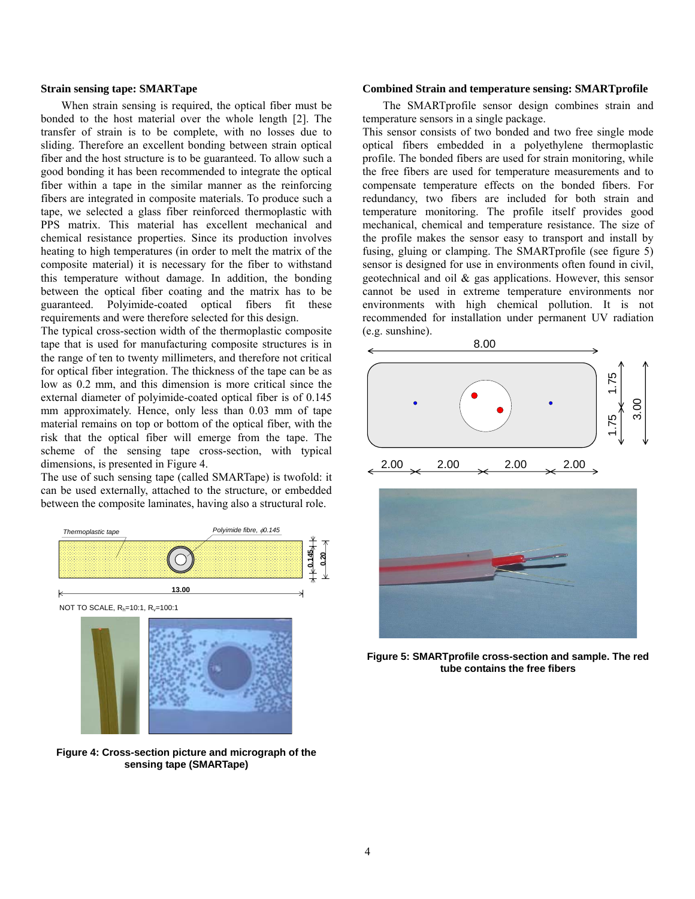#### **Strain sensing tape: SMARTape**

When strain sensing is required, the optical fiber must be bonded to the host material over the whole length [2]. The transfer of strain is to be complete, with no losses due to sliding. Therefore an excellent bonding between strain optical fiber and the host structure is to be guaranteed. To allow such a good bonding it has been recommended to integrate the optical fiber within a tape in the similar manner as the reinforcing fibers are integrated in composite materials. To produce such a tape, we selected a glass fiber reinforced thermoplastic with PPS matrix. This material has excellent mechanical and chemical resistance properties. Since its production involves heating to high temperatures (in order to melt the matrix of the composite material) it is necessary for the fiber to withstand this temperature without damage. In addition, the bonding between the optical fiber coating and the matrix has to be guaranteed. Polyimide-coated optical fibers fit these requirements and were therefore selected for this design.

The typical cross-section width of the thermoplastic composite tape that is used for manufacturing composite structures is in the range of ten to twenty millimeters, and therefore not critical for optical fiber integration. The thickness of the tape can be as low as 0.2 mm, and this dimension is more critical since the external diameter of polyimide-coated optical fiber is of 0.145 mm approximately. Hence, only less than 0.03 mm of tape material remains on top or bottom of the optical fiber, with the risk that the optical fiber will emerge from the tape. The scheme of the sensing tape cross-section, with typical dimensions, is presented in Figure 4.

The use of such sensing tape (called SMARTape) is twofold: it can be used externally, attached to the structure, or embedded between the composite laminates, having also a structural role.



**Figure 4: Cross-section picture and micrograph of the sensing tape (SMARTape)** 

#### **Combined Strain and temperature sensing: SMARTprofile**

The SMARTprofile sensor design combines strain and temperature sensors in a single package.

This sensor consists of two bonded and two free single mode optical fibers embedded in a polyethylene thermoplastic profile. The bonded fibers are used for strain monitoring, while the free fibers are used for temperature measurements and to compensate temperature effects on the bonded fibers. For redundancy, two fibers are included for both strain and temperature monitoring. The profile itself provides good mechanical, chemical and temperature resistance. The size of the profile makes the sensor easy to transport and install by fusing, gluing or clamping. The SMARTprofile (see figure 5) sensor is designed for use in environments often found in civil, geotechnical and oil & gas applications. However, this sensor cannot be used in extreme temperature environments nor environments with high chemical pollution. It is not recommended for installation under permanent UV radiation (e.g. sunshine).



**Figure 5: SMARTprofile cross-section and sample. The red tube contains the free fibers**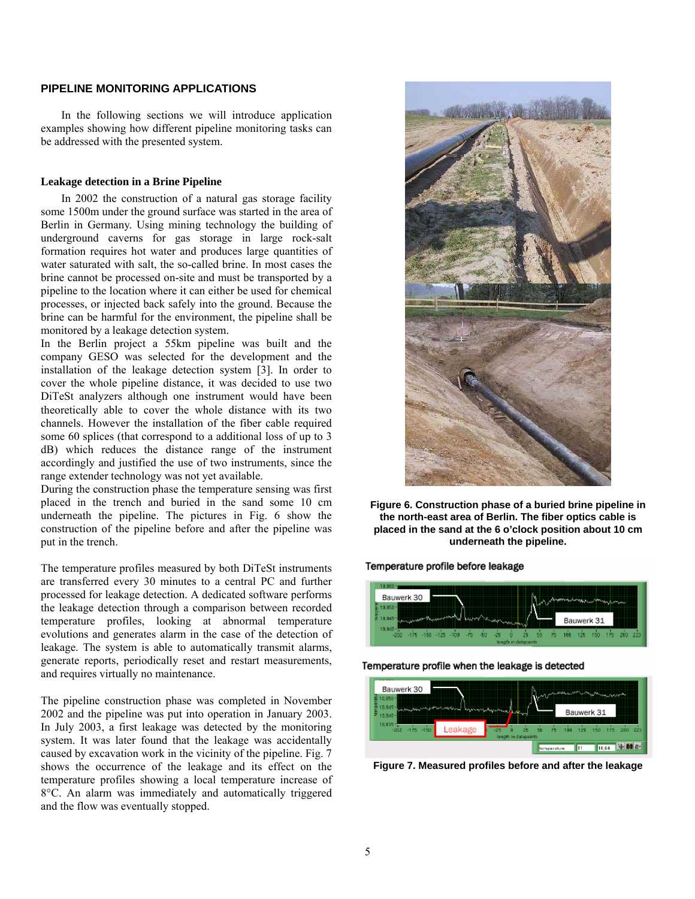# **PIPELINE MONITORING APPLICATIONS**

In the following sections we will introduce application examples showing how different pipeline monitoring tasks can be addressed with the presented system.

#### **Leakage detection in a Brine Pipeline**

In 2002 the construction of a natural gas storage facility some 1500m under the ground surface was started in the area of Berlin in Germany. Using mining technology the building of underground caverns for gas storage in large rock-salt formation requires hot water and produces large quantities of water saturated with salt, the so-called brine. In most cases the brine cannot be processed on-site and must be transported by a pipeline to the location where it can either be used for chemical processes, or injected back safely into the ground. Because the brine can be harmful for the environment, the pipeline shall be monitored by a leakage detection system.

In the Berlin project a 55km pipeline was built and the company GESO was selected for the development and the installation of the leakage detection system [3]. In order to cover the whole pipeline distance, it was decided to use two DiTeSt analyzers although one instrument would have been theoretically able to cover the whole distance with its two channels. However the installation of the fiber cable required some 60 splices (that correspond to a additional loss of up to 3 dB) which reduces the distance range of the instrument accordingly and justified the use of two instruments, since the range extender technology was not yet available.

During the construction phase the temperature sensing was first placed in the trench and buried in the sand some 10 cm underneath the pipeline. The pictures in Fig. 6 show the construction of the pipeline before and after the pipeline was put in the trench.

The temperature profiles measured by both DiTeSt instruments are transferred every 30 minutes to a central PC and further processed for leakage detection. A dedicated software performs the leakage detection through a comparison between recorded temperature profiles, looking at abnormal temperature evolutions and generates alarm in the case of the detection of leakage. The system is able to automatically transmit alarms, generate reports, periodically reset and restart measurements, and requires virtually no maintenance.

The pipeline construction phase was completed in November 2002 and the pipeline was put into operation in January 2003. In July 2003, a first leakage was detected by the monitoring system. It was later found that the leakage was accidentally caused by excavation work in the vicinity of the pipeline. Fig. 7 shows the occurrence of the leakage and its effect on the temperature profiles showing a local temperature increase of 8°C. An alarm was immediately and automatically triggered and the flow was eventually stopped.



**Figure 6. Construction phase of a buried brine pipeline in the north-east area of Berlin. The fiber optics cable is placed in the sand at the 6 o'clock position about 10 cm underneath the pipeline.** 

Temperature profile before leakage



Temperature profile when the leakage is detected



**Figure 7. Measured profiles before and after the leakage**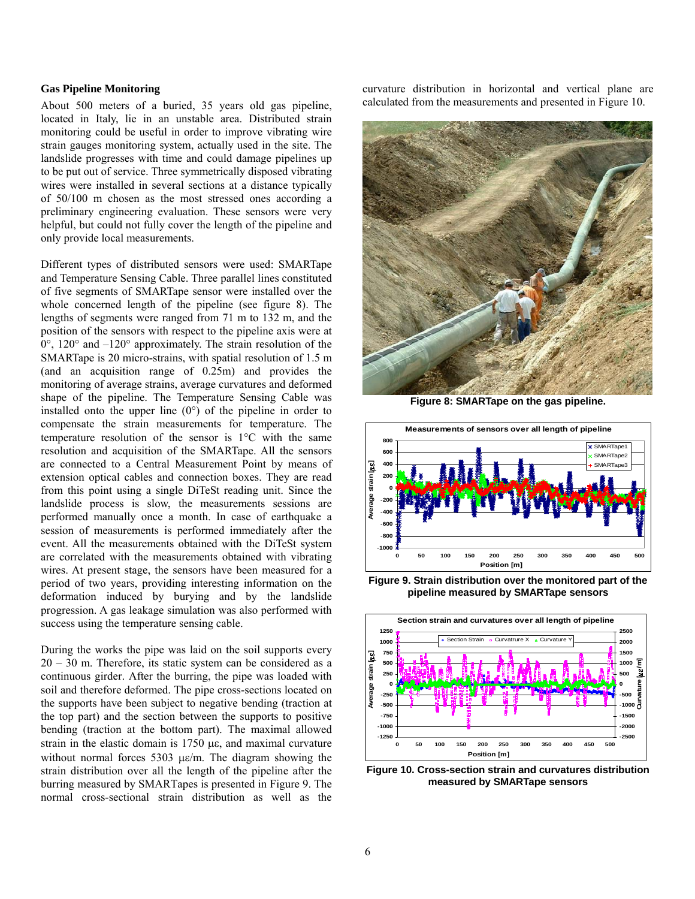#### **Gas Pipeline Monitoring**

About 500 meters of a buried, 35 years old gas pipeline, located in Italy, lie in an unstable area. Distributed strain monitoring could be useful in order to improve vibrating wire strain gauges monitoring system, actually used in the site. The landslide progresses with time and could damage pipelines up to be put out of service. Three symmetrically disposed vibrating wires were installed in several sections at a distance typically of 50/100 m chosen as the most stressed ones according a preliminary engineering evaluation. These sensors were very helpful, but could not fully cover the length of the pipeline and only provide local measurements.

Different types of distributed sensors were used: SMARTape and Temperature Sensing Cable. Three parallel lines constituted of five segments of SMARTape sensor were installed over the whole concerned length of the pipeline (see figure 8). The lengths of segments were ranged from 71 m to 132 m, and the position of the sensors with respect to the pipeline axis were at  $0^{\circ}$ , 120° and  $-120^{\circ}$  approximately. The strain resolution of the SMARTape is 20 micro-strains, with spatial resolution of 1.5 m (and an acquisition range of 0.25m) and provides the monitoring of average strains, average curvatures and deformed shape of the pipeline. The Temperature Sensing Cable was installed onto the upper line  $(0^{\circ})$  of the pipeline in order to compensate the strain measurements for temperature. The temperature resolution of the sensor is 1°C with the same resolution and acquisition of the SMARTape. All the sensors are connected to a Central Measurement Point by means of extension optical cables and connection boxes. They are read from this point using a single DiTeSt reading unit. Since the landslide process is slow, the measurements sessions are performed manually once a month. In case of earthquake a session of measurements is performed immediately after the event. All the measurements obtained with the DiTeSt system are correlated with the measurements obtained with vibrating wires. At present stage, the sensors have been measured for a period of two years, providing interesting information on the deformation induced by burying and by the landslide progression. A gas leakage simulation was also performed with success using the temperature sensing cable.

During the works the pipe was laid on the soil supports every  $20 - 30$  m. Therefore, its static system can be considered as a continuous girder. After the burring, the pipe was loaded with soil and therefore deformed. The pipe cross-sections located on the supports have been subject to negative bending (traction at the top part) and the section between the supports to positive bending (traction at the bottom part). The maximal allowed strain in the elastic domain is 1750 με, and maximal curvature without normal forces 5303 με/m. The diagram showing the strain distribution over all the length of the pipeline after the burring measured by SMARTapes is presented in Figure 9. The normal cross-sectional strain distribution as well as the

curvature distribution in horizontal and vertical plane are calculated from the measurements and presented in Figure 10.



**Figure 8: SMARTape on the gas pipeline.** 



**Figure 9. Strain distribution over the monitored part of the pipeline measured by SMARTape sensors** 



**Figure 10. Cross-section strain and curvatures distribution measured by SMARTape sensors**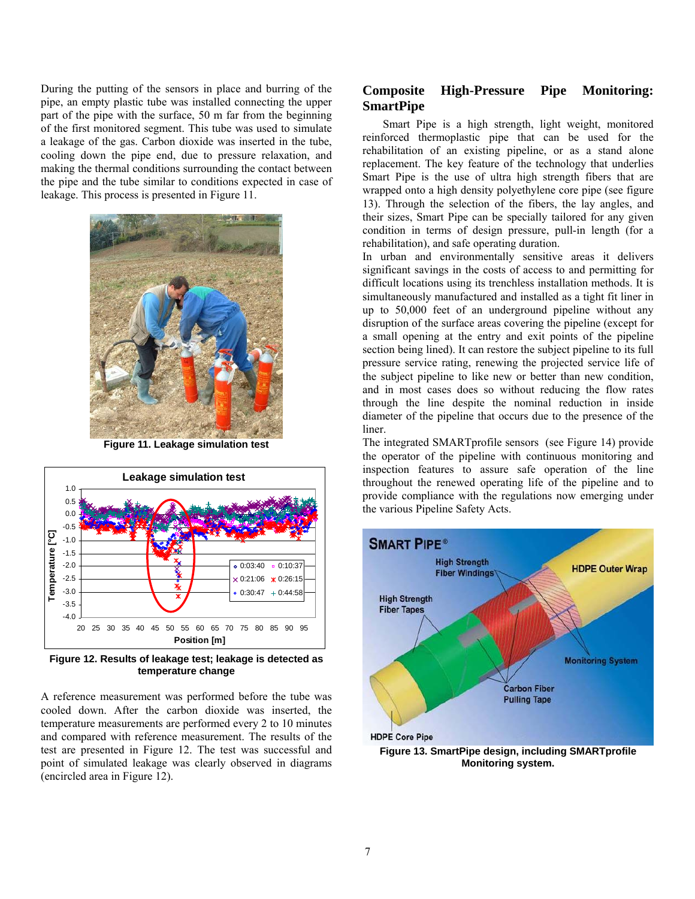During the putting of the sensors in place and burring of the pipe, an empty plastic tube was installed connecting the upper part of the pipe with the surface, 50 m far from the beginning of the first monitored segment. This tube was used to simulate a leakage of the gas. Carbon dioxide was inserted in the tube, cooling down the pipe end, due to pressure relaxation, and making the thermal conditions surrounding the contact between the pipe and the tube similar to conditions expected in case of leakage. This process is presented in Figure 11.



**Figure 11. Leakage simulation test** 



**Figure 12. Results of leakage test; leakage is detected as temperature change** 

A reference measurement was performed before the tube was cooled down. After the carbon dioxide was inserted, the temperature measurements are performed every 2 to 10 minutes and compared with reference measurement. The results of the test are presented in Figure 12. The test was successful and point of simulated leakage was clearly observed in diagrams (encircled area in Figure 12).

# **Composite High-Pressure Pipe Monitoring: SmartPipe**

Smart Pipe is a high strength, light weight, monitored reinforced thermoplastic pipe that can be used for the rehabilitation of an existing pipeline, or as a stand alone replacement. The key feature of the technology that underlies Smart Pipe is the use of ultra high strength fibers that are wrapped onto a high density polyethylene core pipe (see figure 13). Through the selection of the fibers, the lay angles, and their sizes, Smart Pipe can be specially tailored for any given condition in terms of design pressure, pull-in length (for a rehabilitation), and safe operating duration.

In urban and environmentally sensitive areas it delivers significant savings in the costs of access to and permitting for difficult locations using its trenchless installation methods. It is simultaneously manufactured and installed as a tight fit liner in up to 50,000 feet of an underground pipeline without any disruption of the surface areas covering the pipeline (except for a small opening at the entry and exit points of the pipeline section being lined). It can restore the subject pipeline to its full pressure service rating, renewing the projected service life of the subject pipeline to like new or better than new condition, and in most cases does so without reducing the flow rates through the line despite the nominal reduction in inside diameter of the pipeline that occurs due to the presence of the liner.

The integrated SMARTprofile sensors (see Figure 14) provide the operator of the pipeline with continuous monitoring and inspection features to assure safe operation of the line throughout the renewed operating life of the pipeline and to provide compliance with the regulations now emerging under the various Pipeline Safety Acts.



**Monitoring system.**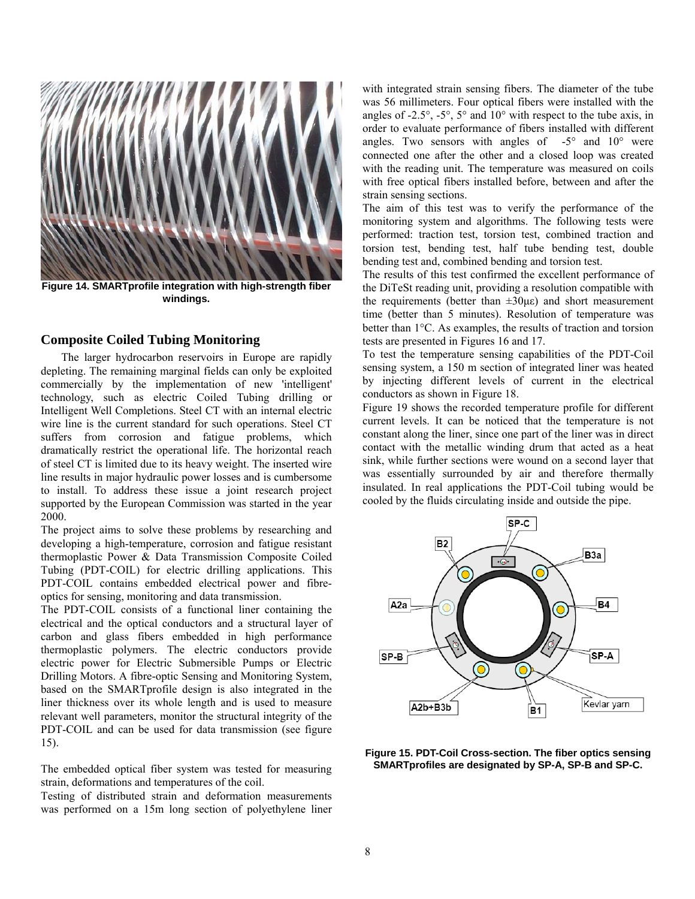

**Figure 14. SMARTprofile integration with high-strength fiber windings.** 

# **Composite Coiled Tubing Monitoring**

The larger hydrocarbon reservoirs in Europe are rapidly depleting. The remaining marginal fields can only be exploited commercially by the implementation of new 'intelligent' technology, such as electric Coiled Tubing drilling or Intelligent Well Completions. Steel CT with an internal electric wire line is the current standard for such operations. Steel CT suffers from corrosion and fatigue problems, which dramatically restrict the operational life. The horizontal reach of steel CT is limited due to its heavy weight. The inserted wire line results in major hydraulic power losses and is cumbersome to install. To address these issue a joint research project supported by the European Commission was started in the year 2000.

The project aims to solve these problems by researching and developing a high-temperature, corrosion and fatigue resistant thermoplastic Power & Data Transmission Composite Coiled Tubing (PDT-COIL) for electric drilling applications. This PDT-COIL contains embedded electrical power and fibreoptics for sensing, monitoring and data transmission.

The PDT-COIL consists of a functional liner containing the electrical and the optical conductors and a structural layer of carbon and glass fibers embedded in high performance thermoplastic polymers. The electric conductors provide electric power for Electric Submersible Pumps or Electric Drilling Motors. A fibre-optic Sensing and Monitoring System, based on the SMARTprofile design is also integrated in the liner thickness over its whole length and is used to measure relevant well parameters, monitor the structural integrity of the PDT-COIL and can be used for data transmission (see figure 15).

The embedded optical fiber system was tested for measuring strain, deformations and temperatures of the coil.

Testing of distributed strain and deformation measurements was performed on a 15m long section of polyethylene liner with integrated strain sensing fibers. The diameter of the tube was 56 millimeters. Four optical fibers were installed with the angles of -2.5°, -5°, 5° and 10° with respect to the tube axis, in order to evaluate performance of fibers installed with different angles. Two sensors with angles of  $-5^{\circ}$  and  $10^{\circ}$  were connected one after the other and a closed loop was created with the reading unit. The temperature was measured on coils with free optical fibers installed before, between and after the strain sensing sections.

The aim of this test was to verify the performance of the monitoring system and algorithms. The following tests were performed: traction test, torsion test, combined traction and torsion test, bending test, half tube bending test, double bending test and, combined bending and torsion test.

The results of this test confirmed the excellent performance of the DiTeSt reading unit, providing a resolution compatible with the requirements (better than  $\pm 30\mu\epsilon$ ) and short measurement time (better than 5 minutes). Resolution of temperature was better than 1°C. As examples, the results of traction and torsion tests are presented in Figures 16 and 17.

To test the temperature sensing capabilities of the PDT-Coil sensing system, a 150 m section of integrated liner was heated by injecting different levels of current in the electrical conductors as shown in Figure 18.

Figure 19 shows the recorded temperature profile for different current levels. It can be noticed that the temperature is not constant along the liner, since one part of the liner was in direct contact with the metallic winding drum that acted as a heat sink, while further sections were wound on a second layer that was essentially surrounded by air and therefore thermally insulated. In real applications the PDT-Coil tubing would be cooled by the fluids circulating inside and outside the pipe.



**Figure 15. PDT-Coil Cross-section. The fiber optics sensing SMARTprofiles are designated by SP-A, SP-B and SP-C.**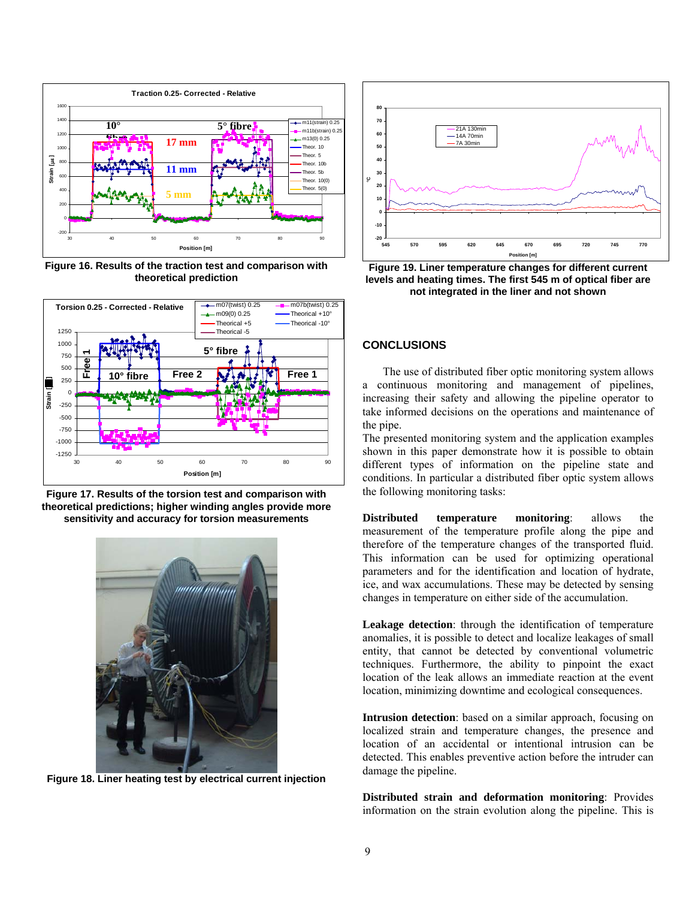

**Figure 16. Results of the traction test and comparison with theoretical prediction** 



**Figure 17. Results of the torsion test and comparison with theoretical predictions; higher winding angles provide more sensitivity and accuracy for torsion measurements** 



**Figure 18. Liner heating test by electrical current injection** 



**Figure 19. Liner temperature changes for different current levels and heating times. The first 545 m of optical fiber are not integrated in the liner and not shown** 

## **CONCLUSIONS**

The use of distributed fiber optic monitoring system allows a continuous monitoring and management of pipelines, increasing their safety and allowing the pipeline operator to take informed decisions on the operations and maintenance of the pipe.

The presented monitoring system and the application examples shown in this paper demonstrate how it is possible to obtain different types of information on the pipeline state and conditions. In particular a distributed fiber optic system allows the following monitoring tasks:

**Distributed temperature monitoring**: allows the measurement of the temperature profile along the pipe and therefore of the temperature changes of the transported fluid. This information can be used for optimizing operational parameters and for the identification and location of hydrate, ice, and wax accumulations. These may be detected by sensing changes in temperature on either side of the accumulation.

**Leakage detection**: through the identification of temperature anomalies, it is possible to detect and localize leakages of small entity, that cannot be detected by conventional volumetric techniques. Furthermore, the ability to pinpoint the exact location of the leak allows an immediate reaction at the event location, minimizing downtime and ecological consequences.

**Intrusion detection**: based on a similar approach, focusing on localized strain and temperature changes, the presence and location of an accidental or intentional intrusion can be detected. This enables preventive action before the intruder can damage the pipeline.

**Distributed strain and deformation monitoring**: Provides information on the strain evolution along the pipeline. This is